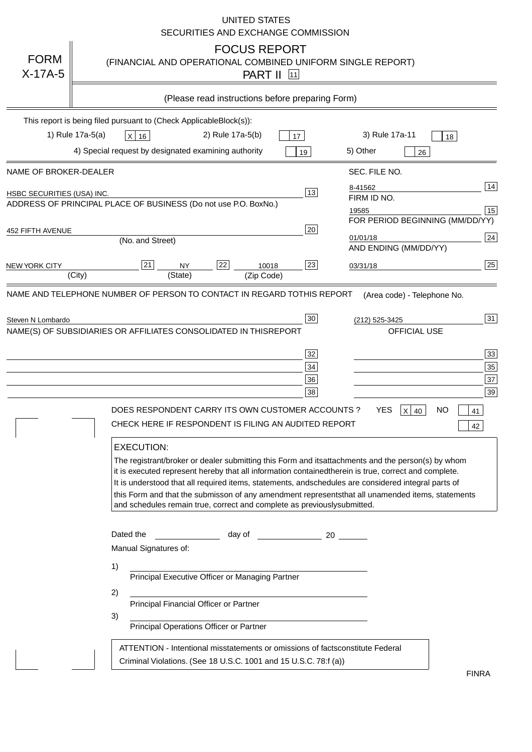|                                   | <b>UNITED STATES</b><br>SECURITIES AND EXCHANGE COMMISSION                                                                                                                                                                                                                                                                                                                                                                                                                                                                                                                                                                                                                                                                                                                                                                                                               |
|-----------------------------------|--------------------------------------------------------------------------------------------------------------------------------------------------------------------------------------------------------------------------------------------------------------------------------------------------------------------------------------------------------------------------------------------------------------------------------------------------------------------------------------------------------------------------------------------------------------------------------------------------------------------------------------------------------------------------------------------------------------------------------------------------------------------------------------------------------------------------------------------------------------------------|
| <b>FORM</b><br>$X-17A-5$          | <b>FOCUS REPORT</b><br>(FINANCIAL AND OPERATIONAL COMBINED UNIFORM SINGLE REPORT)<br><b>PART II</b> 11                                                                                                                                                                                                                                                                                                                                                                                                                                                                                                                                                                                                                                                                                                                                                                   |
|                                   | (Please read instructions before preparing Form)                                                                                                                                                                                                                                                                                                                                                                                                                                                                                                                                                                                                                                                                                                                                                                                                                         |
|                                   | This report is being filed pursuant to (Check Applicable<br>$Block(s)$ :<br>3) Rule 17a-11<br>1) Rule 17a-5(a)<br>2) Rule 17a-5(b)<br>$X$ 16<br>17<br>18<br>4) Special request by designated examining authority<br>5) Other<br>19<br>26                                                                                                                                                                                                                                                                                                                                                                                                                                                                                                                                                                                                                                 |
| NAME OF BROKER-DEALER             | SEC. FILE NO.                                                                                                                                                                                                                                                                                                                                                                                                                                                                                                                                                                                                                                                                                                                                                                                                                                                            |
| <b>HSBC SECURITIES (USA) INC.</b> | 14<br>8-41562<br>13<br>FIRM ID NO.<br>ADDRESS OF PRINCIPAL PLACE OF BUSINESS (Do not use P.O. Box<br>No.)<br>15<br>19585<br>FOR PERIOD BEGINNING (MM/DD/YY)                                                                                                                                                                                                                                                                                                                                                                                                                                                                                                                                                                                                                                                                                                              |
| <b>452 FIFTH AVENUE</b>           | 20<br>24<br>01/01/18<br>(No. and Street)<br>AND ENDING (MM/DD/YY)                                                                                                                                                                                                                                                                                                                                                                                                                                                                                                                                                                                                                                                                                                                                                                                                        |
| <b>NEW YORK CITY</b>              | 25<br>22<br>21<br>23<br><b>NY</b><br>10018<br>03/31/18<br>(City)<br>(State)<br>(Zip Code)                                                                                                                                                                                                                                                                                                                                                                                                                                                                                                                                                                                                                                                                                                                                                                                |
|                                   | NAME(S) OF SUBSIDIARIES OR AFFILIATES CONSOLIDATED IN THIS<br><b>REPORT</b><br><b>OFFICIAL USE</b><br>$\overline{33}$<br>32<br>35<br>34<br>37<br>36<br>39<br>38<br>DOES RESPONDENT CARRY ITS OWN CUSTOMER ACCOUNTS?<br><b>YES</b><br>$X$ 40<br><b>NO</b><br>41<br>CHECK HERE IF RESPONDENT IS FILING AN AUDITED REPORT<br>42<br><b>EXECUTION:</b><br>The registrant/broker or dealer submitting this Form and its<br>attachments and the person(s) by whom<br>it is executed represent hereby that all information contained<br>therein is true, correct and complete.<br>It is understood that all required items, statements, and<br>schedules are considered integral parts of<br>this Form and that the submisson of any amendment represents<br>that all unamended items, statements<br>and schedules remain true, correct and complete as previously<br>submitted. |
|                                   | Dated the<br>day of<br>20<br>Manual Signatures of:<br>1)<br>Principal Executive Officer or Managing Partner<br>2)<br>Principal Financial Officer or Partner<br>3)<br>Principal Operations Officer or Partner                                                                                                                                                                                                                                                                                                                                                                                                                                                                                                                                                                                                                                                             |
|                                   | ATTENTION - Intentional misstatements or omissions of facts<br>constitute Federal<br>Criminal Violations. (See 18 U.S.C. 1001 and 15 U.S.C. 78:f (a)<br>$\lambda$<br><b>FINRA</b>                                                                                                                                                                                                                                                                                                                                                                                                                                                                                                                                                                                                                                                                                        |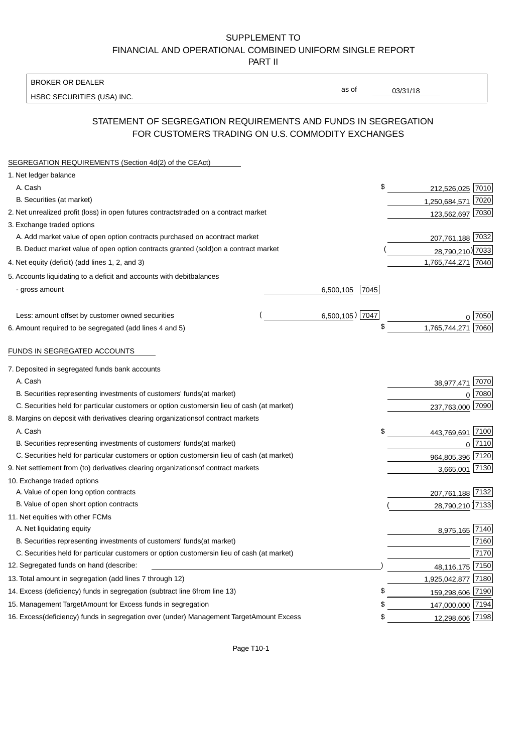#### BROKER OR DEALER

HSBC SECURITIES (USA) INC.

03/31/18

as of

## STATEMENT OF SEGREGATION REQUIREMENTS AND FUNDS IN SEGREGATION FOR CUSTOMERS TRADING ON U.S. COMMODITY EXCHANGES

| SEGREGATION REQUIREMENTS (Section 4d(2) of the CEAct)                                          |                             |  |
|------------------------------------------------------------------------------------------------|-----------------------------|--|
| 1. Net ledger balance                                                                          |                             |  |
| A. Cash                                                                                        | \$<br>212,526,025 7010      |  |
| B. Securities (at market)                                                                      | 1,250,684,571<br>7020       |  |
| 2. Net unrealized profit (loss) in open futures contracts<br>traded on a contract market       | 123,562,697 7030            |  |
| 3. Exchange traded options                                                                     |                             |  |
| A. Add market value of open option contracts purchased on a<br>contract market                 | 207,761,188 7032            |  |
| B. Deduct market value of open option contracts granted (sold)<br>on a contract market         | 28,790,210) 7033            |  |
| 4. Net equity (deficit) (add lines 1, 2, and 3)                                                | 1,765,744,271 7040          |  |
| 5. Accounts liquidating to a deficit and accounts with debit<br>balances                       |                             |  |
| - gross amount<br>6,500,105                                                                    | 7045                        |  |
|                                                                                                |                             |  |
| Less: amount offset by customer owned securities                                               | $6,500,105$ ) 7047<br>7050  |  |
| 6. Amount required to be segregated (add lines 4 and 5)                                        | \$<br>7060<br>1,765,744,271 |  |
| FUNDS IN SEGREGATED ACCOUNTS                                                                   |                             |  |
| 7. Deposited in segregated funds bank accounts                                                 |                             |  |
| A. Cash                                                                                        | 7070<br>38,977,471          |  |
| B. Securities representing investments of customers' funds<br>(at market)                      | 7080<br>$\Omega$            |  |
| C. Securities held for particular customers or option customers<br>in lieu of cash (at market) | 237,763,000 7090            |  |
| 8. Margins on deposit with derivatives clearing organizations<br>of contract markets           |                             |  |
| A. Cash                                                                                        | \$<br>7100<br>443,769,691   |  |
| B. Securities representing investments of customers' funds<br>(at market)                      | 7110<br>$\mathbf 0$         |  |
| C. Securities held for particular customers or option customers<br>in lieu of cash (at market) | 964,805,396 7120            |  |
| 9. Net settlement from (to) derivatives clearing organizations<br>of contract markets          | 7130<br>3,665,001           |  |
| 10. Exchange traded options                                                                    |                             |  |
| A. Value of open long option contracts                                                         | 207,761,188 7132            |  |
| B. Value of open short option contracts                                                        | 28,790,210 7133             |  |
| 11. Net equities with other FCMs                                                               |                             |  |
| A. Net liquidating equity                                                                      | 8,975,165 7140              |  |
| B. Securities representing investments of customers' funds<br>(at market)                      | 7160                        |  |
| C. Securities held for particular customers or option customers<br>in lieu of cash (at market) | 7170                        |  |
| 12. Segregated funds on hand (describe:                                                        | 7150<br>48,116,175          |  |
| 13. Total amount in segregation (add lines 7 through 12)                                       | 1,925,042,877 7180          |  |
| 14. Excess (deficiency) funds in segregation (subtract line 6 from line 13)                    | S<br>159,298,606 7190       |  |
| 15. Management Target Amount for Excess funds in segregation                                   | 147,000,000 7194<br>\$      |  |
| 16. Excess (deficiency) funds in segregation over (under) Management Target Amount Excess      | 12,298,606 7198<br>\$       |  |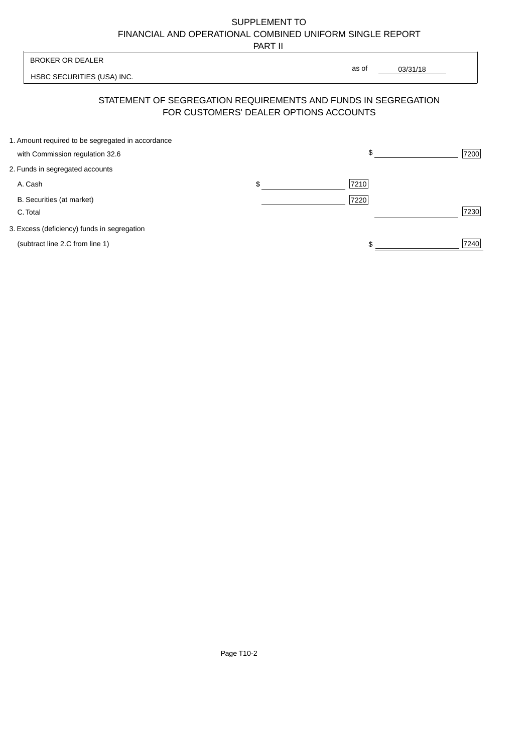PART II

| <b>BROKER OR DEALER</b>                                                                                  | as of |          |      |
|----------------------------------------------------------------------------------------------------------|-------|----------|------|
| HSBC SECURITIES (USA) INC.                                                                               |       | 03/31/18 |      |
| STATEMENT OF SEGREGATION REQUIREMENTS AND FUNDS IN SEGREGATION<br>FOR CUSTOMERS' DEALER OPTIONS ACCOUNTS |       |          |      |
| 1. Amount required to be segregated in accordance<br>with Commission regulation 32.6                     | \$.   |          | 7200 |
| 2. Funds in segregated accounts                                                                          |       |          |      |
| \$<br>A. Cash                                                                                            | 7210  |          |      |

B. Securities (at market) 7220

C. Total 7230

3. Excess (deficiency) funds in segregation

(subtract line 2.C from line 1)  $\sqrt{7240}$  $$\frac{1}{2}$$ 

Ĕ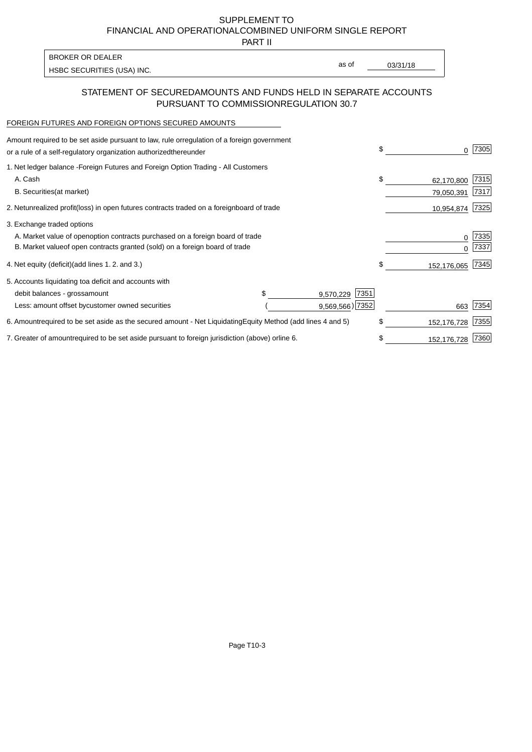PART II

HSBC SECURITIES (USA) INC. The state of the second second in the second second second second second second second second second second second second second second second second second second second second second second sec BROKER OR DEALER

as of

#### STATEMENT OF SECURED AMOUNTS AND FUNDS HELD IN SEPARATE ACCOUNTS PURSUANT TO COMMISSION REGULATION 30.7

#### FOREIGN FUTURES AND FOREIGN OPTIONS SECURED AMOUNTS

| regulation of a foreign government<br>Amount required to be set aside pursuant to law, rule or<br>or a rule of a self-regulatory organization authorized<br>thereunder                       |                                   |                                      | \$ |                          | 7305         |
|----------------------------------------------------------------------------------------------------------------------------------------------------------------------------------------------|-----------------------------------|--------------------------------------|----|--------------------------|--------------|
| 1. Net ledger balance - Foreign Futures and Foreign Option Trading - All Customers<br>A. Cash<br><b>B.</b> Securities<br>(at market)                                                         |                                   |                                      | \$ | 62,170,800<br>79,050,391 | 7315<br>7317 |
| unrealized profit (loss) in open futures contracts traded on a foreign<br>2. Net                                                                                                             | board of trade                    |                                      |    | 10,954,874               | 7325         |
| 3. Exchange traded options<br>A. Market value of open option contracts purchased on a foreign board of trade<br>B. Market value of open contracts granted (sold) on a foreign board of trade |                                   |                                      |    | $\Omega$                 | 7335<br>7337 |
| (add lines 1.2. and 3.)<br>4. Net equity (deficit)                                                                                                                                           |                                   |                                      | \$ | 152,176,065              | 7345         |
| 5. Accounts liquidating to<br>a deficit and accounts with<br>debit balances - gross<br>amount<br>Less: amount offset by<br>customer owned securities                                         |                                   | 7351<br>9,570,229<br>9,569,566) 7352 |    | 663                      | 7354         |
| 6. Amount required to be set aside as the secured amount - Net Liquidating                                                                                                                   | Equity Method (add lines 4 and 5) |                                      | \$ | 152,176,728              | 7355         |
| 7. Greater of amount required to be set aside pursuant to foreign jurisdiction (above) or line 6.                                                                                            |                                   |                                      | S  | 152,176,728              | 7360         |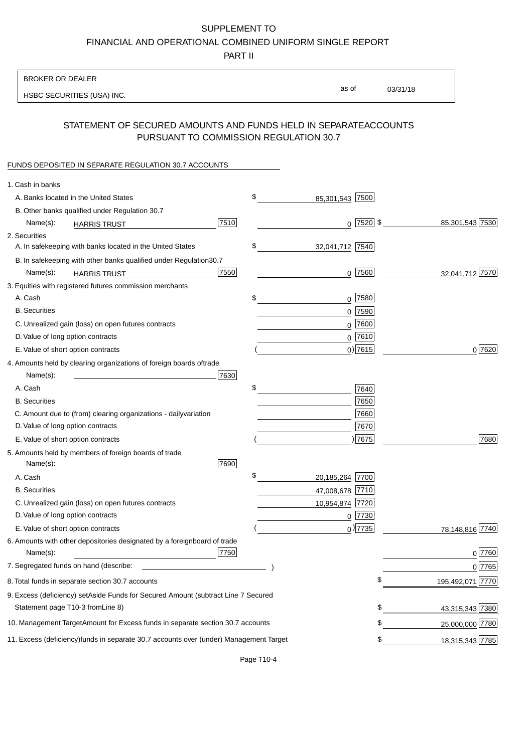PART II

| as of<br>03/31/18<br>HSBC SECURITIES (USA) INC.<br>STATEMENT OF SECURED AMOUNTS AND FUNDS HELD IN SEPARATE<br><b>ACCOUNTS</b><br>PURSUANT TO COMMISSION REGULATION 30.7<br>FUNDS DEPOSITED IN SEPARATE REGULATION 30.7 ACCOUNTS<br>1. Cash in banks<br>\$<br>A. Banks located in the United States<br>85,301,543 7500<br>B. Other banks qualified under Regulation 30.7<br>7510<br>$0$  7520  \$<br>85,301,543 7530<br>Name(s):<br><b>HARRIS TRUST</b><br>2. Securities<br>\$<br>A. In safekeeping with banks located in the United States<br>32,041,712 7540<br>B. In safekeeping with other banks qualified under Regulation<br>30.7<br>7550<br>$0$ 7560<br>32,041,712 7570<br>Name(s):<br><b>HARRIS TRUST</b><br>3. Equities with registered futures commission merchants<br>A. Cash<br>\$<br>$0$ 7580<br><b>B.</b> Securities<br>7590<br>0<br>C. Unrealized gain (loss) on open futures contracts<br>7600<br>0<br>$0$ 7610<br>D. Value of long option contracts<br>$0)$ 7615<br>0 7620<br>E. Value of short option contracts<br>4. Amounts held by clearing organizations of foreign boards of<br>trade<br>Name(s):<br>7630<br>\$<br>A. Cash<br>7640<br>7650<br><b>B.</b> Securities<br>7660<br>C. Amount due to (from) clearing organizations - daily<br>variation<br>D. Value of long option contracts<br>7670<br>) 7675<br>7680<br>E. Value of short option contracts<br>5. Amounts held by members of foreign boards of trade<br>Name(s):<br>7690<br>\$<br>20,185,264 7700<br>A. Cash<br><b>B.</b> Securities<br>47,008,678 7710<br>C. Unrealized gain (loss) on open futures contracts<br>10,954,874 7720<br>D. Value of long option contracts<br>$0$  7730<br>$_0$ ) 7735<br>E. Value of short option contracts<br>78,148,816 7740<br>6. Amounts with other depositories designated by a foreign<br>board of trade<br>7750<br>0 7760<br>Name(s):<br>7. Segregated funds on hand (describe:<br>0 7765<br>\$<br>195,492,071 7770<br>8. Total funds in separate section 30.7 accounts<br>9. Excess (deficiency) set Aside Funds for Secured Amount (subtract Line 7 Secured<br>Statement page T10-3 from Line 8)<br>43,315,343 7380<br>\$<br>10. Management Target Amount for Excess funds in separate section 30.7 accounts<br>25,000,000 7780<br>11. Excess (deficiency) funds in separate 30.7 accounts over (under) Management Target | <b>BROKER OR DEALER</b> |  |                       |
|--------------------------------------------------------------------------------------------------------------------------------------------------------------------------------------------------------------------------------------------------------------------------------------------------------------------------------------------------------------------------------------------------------------------------------------------------------------------------------------------------------------------------------------------------------------------------------------------------------------------------------------------------------------------------------------------------------------------------------------------------------------------------------------------------------------------------------------------------------------------------------------------------------------------------------------------------------------------------------------------------------------------------------------------------------------------------------------------------------------------------------------------------------------------------------------------------------------------------------------------------------------------------------------------------------------------------------------------------------------------------------------------------------------------------------------------------------------------------------------------------------------------------------------------------------------------------------------------------------------------------------------------------------------------------------------------------------------------------------------------------------------------------------------------------------------------------------------------------------------------------------------------------------------------------------------------------------------------------------------------------------------------------------------------------------------------------------------------------------------------------------------------------------------------------------------------------------------------------------------------------------------------------------------------------------------------------------------------------|-------------------------|--|-----------------------|
|                                                                                                                                                                                                                                                                                                                                                                                                                                                                                                                                                                                                                                                                                                                                                                                                                                                                                                                                                                                                                                                                                                                                                                                                                                                                                                                                                                                                                                                                                                                                                                                                                                                                                                                                                                                                                                                                                                                                                                                                                                                                                                                                                                                                                                                                                                                                                  |                         |  |                       |
|                                                                                                                                                                                                                                                                                                                                                                                                                                                                                                                                                                                                                                                                                                                                                                                                                                                                                                                                                                                                                                                                                                                                                                                                                                                                                                                                                                                                                                                                                                                                                                                                                                                                                                                                                                                                                                                                                                                                                                                                                                                                                                                                                                                                                                                                                                                                                  |                         |  |                       |
|                                                                                                                                                                                                                                                                                                                                                                                                                                                                                                                                                                                                                                                                                                                                                                                                                                                                                                                                                                                                                                                                                                                                                                                                                                                                                                                                                                                                                                                                                                                                                                                                                                                                                                                                                                                                                                                                                                                                                                                                                                                                                                                                                                                                                                                                                                                                                  |                         |  |                       |
|                                                                                                                                                                                                                                                                                                                                                                                                                                                                                                                                                                                                                                                                                                                                                                                                                                                                                                                                                                                                                                                                                                                                                                                                                                                                                                                                                                                                                                                                                                                                                                                                                                                                                                                                                                                                                                                                                                                                                                                                                                                                                                                                                                                                                                                                                                                                                  |                         |  |                       |
|                                                                                                                                                                                                                                                                                                                                                                                                                                                                                                                                                                                                                                                                                                                                                                                                                                                                                                                                                                                                                                                                                                                                                                                                                                                                                                                                                                                                                                                                                                                                                                                                                                                                                                                                                                                                                                                                                                                                                                                                                                                                                                                                                                                                                                                                                                                                                  |                         |  |                       |
|                                                                                                                                                                                                                                                                                                                                                                                                                                                                                                                                                                                                                                                                                                                                                                                                                                                                                                                                                                                                                                                                                                                                                                                                                                                                                                                                                                                                                                                                                                                                                                                                                                                                                                                                                                                                                                                                                                                                                                                                                                                                                                                                                                                                                                                                                                                                                  |                         |  |                       |
|                                                                                                                                                                                                                                                                                                                                                                                                                                                                                                                                                                                                                                                                                                                                                                                                                                                                                                                                                                                                                                                                                                                                                                                                                                                                                                                                                                                                                                                                                                                                                                                                                                                                                                                                                                                                                                                                                                                                                                                                                                                                                                                                                                                                                                                                                                                                                  |                         |  |                       |
|                                                                                                                                                                                                                                                                                                                                                                                                                                                                                                                                                                                                                                                                                                                                                                                                                                                                                                                                                                                                                                                                                                                                                                                                                                                                                                                                                                                                                                                                                                                                                                                                                                                                                                                                                                                                                                                                                                                                                                                                                                                                                                                                                                                                                                                                                                                                                  |                         |  |                       |
|                                                                                                                                                                                                                                                                                                                                                                                                                                                                                                                                                                                                                                                                                                                                                                                                                                                                                                                                                                                                                                                                                                                                                                                                                                                                                                                                                                                                                                                                                                                                                                                                                                                                                                                                                                                                                                                                                                                                                                                                                                                                                                                                                                                                                                                                                                                                                  |                         |  |                       |
|                                                                                                                                                                                                                                                                                                                                                                                                                                                                                                                                                                                                                                                                                                                                                                                                                                                                                                                                                                                                                                                                                                                                                                                                                                                                                                                                                                                                                                                                                                                                                                                                                                                                                                                                                                                                                                                                                                                                                                                                                                                                                                                                                                                                                                                                                                                                                  |                         |  |                       |
|                                                                                                                                                                                                                                                                                                                                                                                                                                                                                                                                                                                                                                                                                                                                                                                                                                                                                                                                                                                                                                                                                                                                                                                                                                                                                                                                                                                                                                                                                                                                                                                                                                                                                                                                                                                                                                                                                                                                                                                                                                                                                                                                                                                                                                                                                                                                                  |                         |  |                       |
|                                                                                                                                                                                                                                                                                                                                                                                                                                                                                                                                                                                                                                                                                                                                                                                                                                                                                                                                                                                                                                                                                                                                                                                                                                                                                                                                                                                                                                                                                                                                                                                                                                                                                                                                                                                                                                                                                                                                                                                                                                                                                                                                                                                                                                                                                                                                                  |                         |  |                       |
|                                                                                                                                                                                                                                                                                                                                                                                                                                                                                                                                                                                                                                                                                                                                                                                                                                                                                                                                                                                                                                                                                                                                                                                                                                                                                                                                                                                                                                                                                                                                                                                                                                                                                                                                                                                                                                                                                                                                                                                                                                                                                                                                                                                                                                                                                                                                                  |                         |  |                       |
|                                                                                                                                                                                                                                                                                                                                                                                                                                                                                                                                                                                                                                                                                                                                                                                                                                                                                                                                                                                                                                                                                                                                                                                                                                                                                                                                                                                                                                                                                                                                                                                                                                                                                                                                                                                                                                                                                                                                                                                                                                                                                                                                                                                                                                                                                                                                                  |                         |  |                       |
|                                                                                                                                                                                                                                                                                                                                                                                                                                                                                                                                                                                                                                                                                                                                                                                                                                                                                                                                                                                                                                                                                                                                                                                                                                                                                                                                                                                                                                                                                                                                                                                                                                                                                                                                                                                                                                                                                                                                                                                                                                                                                                                                                                                                                                                                                                                                                  |                         |  |                       |
|                                                                                                                                                                                                                                                                                                                                                                                                                                                                                                                                                                                                                                                                                                                                                                                                                                                                                                                                                                                                                                                                                                                                                                                                                                                                                                                                                                                                                                                                                                                                                                                                                                                                                                                                                                                                                                                                                                                                                                                                                                                                                                                                                                                                                                                                                                                                                  |                         |  |                       |
|                                                                                                                                                                                                                                                                                                                                                                                                                                                                                                                                                                                                                                                                                                                                                                                                                                                                                                                                                                                                                                                                                                                                                                                                                                                                                                                                                                                                                                                                                                                                                                                                                                                                                                                                                                                                                                                                                                                                                                                                                                                                                                                                                                                                                                                                                                                                                  |                         |  |                       |
|                                                                                                                                                                                                                                                                                                                                                                                                                                                                                                                                                                                                                                                                                                                                                                                                                                                                                                                                                                                                                                                                                                                                                                                                                                                                                                                                                                                                                                                                                                                                                                                                                                                                                                                                                                                                                                                                                                                                                                                                                                                                                                                                                                                                                                                                                                                                                  |                         |  |                       |
|                                                                                                                                                                                                                                                                                                                                                                                                                                                                                                                                                                                                                                                                                                                                                                                                                                                                                                                                                                                                                                                                                                                                                                                                                                                                                                                                                                                                                                                                                                                                                                                                                                                                                                                                                                                                                                                                                                                                                                                                                                                                                                                                                                                                                                                                                                                                                  |                         |  |                       |
|                                                                                                                                                                                                                                                                                                                                                                                                                                                                                                                                                                                                                                                                                                                                                                                                                                                                                                                                                                                                                                                                                                                                                                                                                                                                                                                                                                                                                                                                                                                                                                                                                                                                                                                                                                                                                                                                                                                                                                                                                                                                                                                                                                                                                                                                                                                                                  |                         |  |                       |
|                                                                                                                                                                                                                                                                                                                                                                                                                                                                                                                                                                                                                                                                                                                                                                                                                                                                                                                                                                                                                                                                                                                                                                                                                                                                                                                                                                                                                                                                                                                                                                                                                                                                                                                                                                                                                                                                                                                                                                                                                                                                                                                                                                                                                                                                                                                                                  |                         |  |                       |
|                                                                                                                                                                                                                                                                                                                                                                                                                                                                                                                                                                                                                                                                                                                                                                                                                                                                                                                                                                                                                                                                                                                                                                                                                                                                                                                                                                                                                                                                                                                                                                                                                                                                                                                                                                                                                                                                                                                                                                                                                                                                                                                                                                                                                                                                                                                                                  |                         |  |                       |
|                                                                                                                                                                                                                                                                                                                                                                                                                                                                                                                                                                                                                                                                                                                                                                                                                                                                                                                                                                                                                                                                                                                                                                                                                                                                                                                                                                                                                                                                                                                                                                                                                                                                                                                                                                                                                                                                                                                                                                                                                                                                                                                                                                                                                                                                                                                                                  |                         |  |                       |
|                                                                                                                                                                                                                                                                                                                                                                                                                                                                                                                                                                                                                                                                                                                                                                                                                                                                                                                                                                                                                                                                                                                                                                                                                                                                                                                                                                                                                                                                                                                                                                                                                                                                                                                                                                                                                                                                                                                                                                                                                                                                                                                                                                                                                                                                                                                                                  |                         |  |                       |
|                                                                                                                                                                                                                                                                                                                                                                                                                                                                                                                                                                                                                                                                                                                                                                                                                                                                                                                                                                                                                                                                                                                                                                                                                                                                                                                                                                                                                                                                                                                                                                                                                                                                                                                                                                                                                                                                                                                                                                                                                                                                                                                                                                                                                                                                                                                                                  |                         |  |                       |
|                                                                                                                                                                                                                                                                                                                                                                                                                                                                                                                                                                                                                                                                                                                                                                                                                                                                                                                                                                                                                                                                                                                                                                                                                                                                                                                                                                                                                                                                                                                                                                                                                                                                                                                                                                                                                                                                                                                                                                                                                                                                                                                                                                                                                                                                                                                                                  |                         |  |                       |
|                                                                                                                                                                                                                                                                                                                                                                                                                                                                                                                                                                                                                                                                                                                                                                                                                                                                                                                                                                                                                                                                                                                                                                                                                                                                                                                                                                                                                                                                                                                                                                                                                                                                                                                                                                                                                                                                                                                                                                                                                                                                                                                                                                                                                                                                                                                                                  |                         |  |                       |
|                                                                                                                                                                                                                                                                                                                                                                                                                                                                                                                                                                                                                                                                                                                                                                                                                                                                                                                                                                                                                                                                                                                                                                                                                                                                                                                                                                                                                                                                                                                                                                                                                                                                                                                                                                                                                                                                                                                                                                                                                                                                                                                                                                                                                                                                                                                                                  |                         |  |                       |
|                                                                                                                                                                                                                                                                                                                                                                                                                                                                                                                                                                                                                                                                                                                                                                                                                                                                                                                                                                                                                                                                                                                                                                                                                                                                                                                                                                                                                                                                                                                                                                                                                                                                                                                                                                                                                                                                                                                                                                                                                                                                                                                                                                                                                                                                                                                                                  |                         |  |                       |
|                                                                                                                                                                                                                                                                                                                                                                                                                                                                                                                                                                                                                                                                                                                                                                                                                                                                                                                                                                                                                                                                                                                                                                                                                                                                                                                                                                                                                                                                                                                                                                                                                                                                                                                                                                                                                                                                                                                                                                                                                                                                                                                                                                                                                                                                                                                                                  |                         |  |                       |
|                                                                                                                                                                                                                                                                                                                                                                                                                                                                                                                                                                                                                                                                                                                                                                                                                                                                                                                                                                                                                                                                                                                                                                                                                                                                                                                                                                                                                                                                                                                                                                                                                                                                                                                                                                                                                                                                                                                                                                                                                                                                                                                                                                                                                                                                                                                                                  |                         |  |                       |
|                                                                                                                                                                                                                                                                                                                                                                                                                                                                                                                                                                                                                                                                                                                                                                                                                                                                                                                                                                                                                                                                                                                                                                                                                                                                                                                                                                                                                                                                                                                                                                                                                                                                                                                                                                                                                                                                                                                                                                                                                                                                                                                                                                                                                                                                                                                                                  |                         |  |                       |
|                                                                                                                                                                                                                                                                                                                                                                                                                                                                                                                                                                                                                                                                                                                                                                                                                                                                                                                                                                                                                                                                                                                                                                                                                                                                                                                                                                                                                                                                                                                                                                                                                                                                                                                                                                                                                                                                                                                                                                                                                                                                                                                                                                                                                                                                                                                                                  |                         |  |                       |
|                                                                                                                                                                                                                                                                                                                                                                                                                                                                                                                                                                                                                                                                                                                                                                                                                                                                                                                                                                                                                                                                                                                                                                                                                                                                                                                                                                                                                                                                                                                                                                                                                                                                                                                                                                                                                                                                                                                                                                                                                                                                                                                                                                                                                                                                                                                                                  |                         |  |                       |
|                                                                                                                                                                                                                                                                                                                                                                                                                                                                                                                                                                                                                                                                                                                                                                                                                                                                                                                                                                                                                                                                                                                                                                                                                                                                                                                                                                                                                                                                                                                                                                                                                                                                                                                                                                                                                                                                                                                                                                                                                                                                                                                                                                                                                                                                                                                                                  |                         |  |                       |
|                                                                                                                                                                                                                                                                                                                                                                                                                                                                                                                                                                                                                                                                                                                                                                                                                                                                                                                                                                                                                                                                                                                                                                                                                                                                                                                                                                                                                                                                                                                                                                                                                                                                                                                                                                                                                                                                                                                                                                                                                                                                                                                                                                                                                                                                                                                                                  |                         |  |                       |
|                                                                                                                                                                                                                                                                                                                                                                                                                                                                                                                                                                                                                                                                                                                                                                                                                                                                                                                                                                                                                                                                                                                                                                                                                                                                                                                                                                                                                                                                                                                                                                                                                                                                                                                                                                                                                                                                                                                                                                                                                                                                                                                                                                                                                                                                                                                                                  |                         |  |                       |
|                                                                                                                                                                                                                                                                                                                                                                                                                                                                                                                                                                                                                                                                                                                                                                                                                                                                                                                                                                                                                                                                                                                                                                                                                                                                                                                                                                                                                                                                                                                                                                                                                                                                                                                                                                                                                                                                                                                                                                                                                                                                                                                                                                                                                                                                                                                                                  |                         |  | \$<br>18,315,343 7785 |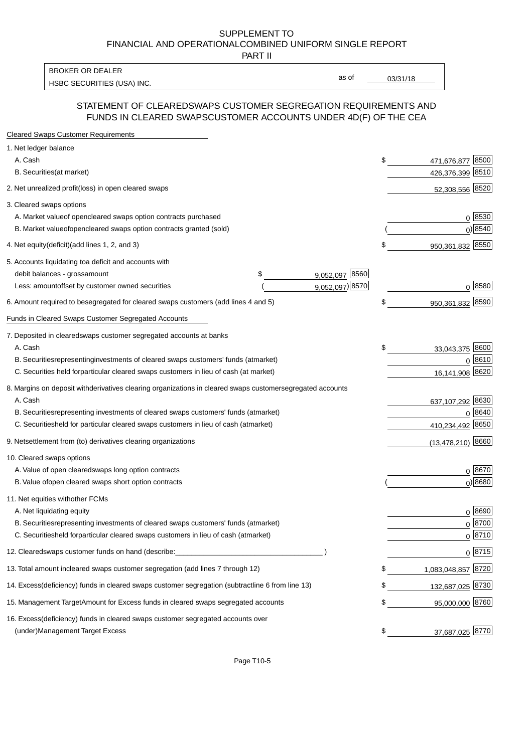PART II

HSBC SECURITIES (USA) INC. The state of the state of the state of the state of the state of the state of the state of the state of the state of the state of the state of the state of the state of the state of the state of BROKER OR DEALER

as of

#### STATEMENT OF CLEARED SWAPS CUSTOMER SEGREGATION REQUIREMENTS AND FUNDS IN CLEARED SWAPS CUSTOMER ACCOUNTS UNDER 4D(F) OF THE CEA

| <b>Cleared Swaps Customer Requirements</b>                                                                  |    |                     |
|-------------------------------------------------------------------------------------------------------------|----|---------------------|
| 1. Net ledger balance                                                                                       |    |                     |
| A. Cash                                                                                                     | \$ | 8500<br>471,676,877 |
| B. Securities (at market)                                                                                   |    | 426,376,399 8510    |
| 2. Net unrealized profit (loss) in open cleared swaps                                                       |    | 52,308,556 8520     |
| 3. Cleared swaps options                                                                                    |    |                     |
| A. Market value of open cleared swaps option contracts purchased                                            |    | 0   8530            |
| B. Market value of open cleared swaps option contracts granted (sold)                                       |    | $0)$ 8540           |
| 4. Net equity (deficit) (add lines 1, 2, and 3)                                                             | \$ | 950,361,832 8550    |
| 5. Accounts liquidating to a deficit and accounts with                                                      |    |                     |
| 9,052,097 8560<br>debit balances - gross amount<br>\$                                                       |    |                     |
| 9,052,097) 8570<br>Less: amount offset by customer owned securities                                         |    | 0 8580              |
| 6. Amount required to be segregated for cleared swaps customers (add lines 4 and 5)                         | \$ | 950,361,832 8590    |
| Funds in Cleared Swaps Customer Segregated Accounts                                                         |    |                     |
| 7. Deposited in cleared swaps customer segregated accounts at banks                                         |    |                     |
| A. Cash                                                                                                     | \$ | 33,043,375 8600     |
| B. Securities representing investments of cleared swaps customers' funds (at market)                        |    | $0^{8610}$          |
| C. Securities held for particular cleared swaps customers in lieu of cash (at market)                       |    | 16,141,908 8620     |
| 8. Margins on deposit with derivatives clearing organizations in cleared swaps customer segregated accounts |    |                     |
| A. Cash                                                                                                     |    | 637,107,292 8630    |
| B. Securities representing investments of cleared swaps customers' funds (at market)                        |    | 8640<br>0           |
| C. Securities<br>held for particular cleared swaps customers in lieu of cash (at market)                    |    | 410,234,492 8650    |
| 9. Net settlement from (to) derivatives clearing organizations                                              |    | $(13,478,210)$ 8660 |
| 10. Cleared swaps options                                                                                   |    |                     |
| A. Value of open cleared swaps long option contracts                                                        |    | $0^{8670}$          |
| B. Value of open cleared swaps short option contracts                                                       |    | $0)$ 8680           |
| 11. Net equities with other FCMs                                                                            |    |                     |
| A. Net liquidating equity                                                                                   |    | $0^{8690}$          |
| B. Securities representing investments of cleared swaps customers' funds (at market)                        |    | $0 \; 8700$         |
| C. Securities held for particular cleared swaps customers in lieu of cash (at market)                       |    | 0 8710              |
| 12. Cleared swaps customer funds on hand (describe:                                                         |    | $0 \;  8715 $       |
| 13. Total amount in cleared swaps customer segregation (add lines 7 through 12)                             | S  | 1,083,048,857 8720  |
| 14. Excess (deficiency) funds in cleared swaps customer segregation (subtract line 6 from line 13)          |    | 132,687,025 8730    |
| 15. Management Target Amount for Excess funds in cleared swaps segregated accounts                          | \$ | 95,000,000 8760     |
| 16. Excess<br>(deficiency) funds in cleared swaps customer segregated accounts over                         |    |                     |
| <b>Management Target Excess</b><br>(under)                                                                  | \$ | 37,687,025 8770     |